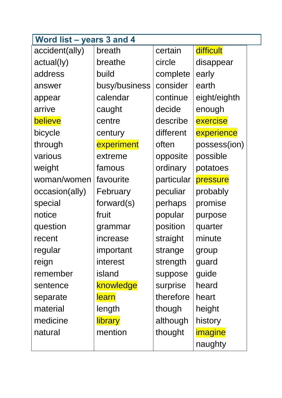| Word list - years 3 and 4 |               |            |              |  |  |
|---------------------------|---------------|------------|--------------|--|--|
| accident(ally)            | breath        | certain    | difficult    |  |  |
| actual(ly)                | breathe       | circle     | disappear    |  |  |
| address                   | build         | complete   | early        |  |  |
| answer                    | busy/business | consider   | earth        |  |  |
| appear                    | calendar      | continue   | eight/eighth |  |  |
| arrive                    | caught        | decide     | enough       |  |  |
| believe                   | centre        | describe   | exercise     |  |  |
| bicycle                   | century       | different  | experience   |  |  |
| through                   | experiment    | often      | possess(ion) |  |  |
| various                   | extreme       | opposite   | possible     |  |  |
| weight                    | famous        | ordinary   | potatoes     |  |  |
| woman/women               | favourite     | particular | pressure     |  |  |
| occasion(ally)            | February      | peculiar   | probably     |  |  |
| special                   | forward(s)    | perhaps    | promise      |  |  |
| notice                    | fruit         | popular    | purpose      |  |  |
| question                  | grammar       | position   | quarter      |  |  |
| recent                    | increase      | straight   | minute       |  |  |
| regular                   | important     | strange    | group        |  |  |
| reign                     | interest      | strength   | guard        |  |  |
| remember                  | island        | suppose    | guide        |  |  |
| sentence                  | knowledge     | surprise   | heard        |  |  |
| separate                  | <b>learn</b>  | therefore  | heart        |  |  |
| material                  | length        | though     | height       |  |  |
| medicine                  | library       | although   | history      |  |  |
| natural                   | mention       | thought    | imagine      |  |  |
|                           |               |            | naughty      |  |  |